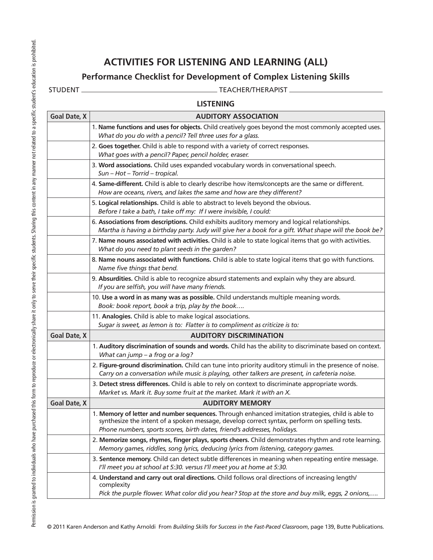## Permission is granted to individuals who have purchased this form to reproduce or electronically share it only to serve their specific students. Sharing this content in any manner not related to a specific student's educat Permission is granted to individuals who have purchased this form to reproduce or electronically share it only to serve their specific students. Sharing this content in any manner not related to a specific student's educat

## **ACTIVITIES FOR LISTENING AND LEARNING (ALL)**

## **Performance Checklist for Development of Complex Listening Skills**

STUDENT TEACHER/THERAPIST

| <b>LISTENING</b> |  |
|------------------|--|
|                  |  |
|                  |  |

| <b>Goal Date, X</b> | <b>AUDITORY ASSOCIATION</b>                                                                                                                                                                                                                                                    |
|---------------------|--------------------------------------------------------------------------------------------------------------------------------------------------------------------------------------------------------------------------------------------------------------------------------|
|                     | 1. Name functions and uses for objects. Child creatively goes beyond the most commonly accepted uses.<br>What do you do with a pencil? Tell three uses for a glass.                                                                                                            |
|                     | 2. Goes together. Child is able to respond with a variety of correct responses.<br>What goes with a pencil? Paper, pencil holder, eraser.                                                                                                                                      |
|                     | 3. Word associations. Child uses expanded vocabulary words in conversational speech.<br>Sun - Hot - Torrid - tropical.                                                                                                                                                         |
|                     | 4. Same-different. Child is able to clearly describe how items/concepts are the same or different.<br>How are oceans, rivers, and lakes the same and how are they different?                                                                                                   |
|                     | 5. Logical relationships. Child is able to abstract to levels beyond the obvious.<br>Before I take a bath, I take off my: If I were invisible, I could:                                                                                                                        |
|                     | 6. Associations from descriptions. Child exhibits auditory memory and logical relationships.<br>Martha is having a birthday party. Judy will give her a book for a gift. What shape will the book be?                                                                          |
|                     | 7. Name nouns associated with activities. Child is able to state logical items that go with activities.<br>What do you need to plant seeds in the garden?                                                                                                                      |
|                     | 8. Name nouns associated with functions. Child is able to state logical items that go with functions.<br>Name five things that bend.                                                                                                                                           |
|                     | 9. Absurdities. Child is able to recognize absurd statements and explain why they are absurd.<br>If you are selfish, you will have many friends.                                                                                                                               |
|                     | 10. Use a word in as many was as possible. Child understands multiple meaning words.<br>Book: book report, book a trip, play by the book                                                                                                                                       |
|                     | 11. Analogies. Child is able to make logical associations.<br>Sugar is sweet, as lemon is to: Flatter is to compliment as criticize is to:                                                                                                                                     |
| <b>Goal Date, X</b> | <b>AUDITORY DISCRIMINATION</b>                                                                                                                                                                                                                                                 |
|                     | 1. Auditory discrimination of sounds and words. Child has the ability to discriminate based on context.<br>What can jump - a frog or a log?                                                                                                                                    |
|                     | 2. Figure-ground discrimination. Child can tune into priority auditory stimuli in the presence of noise.<br>Carry on a conversation while music is playing, other talkers are present, in cafeteria noise.                                                                     |
|                     | 3. Detect stress differences. Child is able to rely on context to discriminate appropriate words.<br>Market vs. Mark it. Buy some fruit at the market. Mark it with an X.                                                                                                      |
| <b>Goal Date, X</b> | <b>AUDITORY MEMORY</b>                                                                                                                                                                                                                                                         |
|                     | 1. Memory of letter and number sequences. Through enhanced imitation strategies, child is able to<br>synthesize the intent of a spoken message, develop correct syntax, perform on spelling tests.<br>Phone numbers, sports scores, birth dates, friend's addresses, holidays. |
|                     | 2. Memorize songs, rhymes, finger plays, sports cheers. Child demonstrates rhythm and rote learning.<br>Memory games, riddles, song lyrics, deducing lyrics from listening, category games.                                                                                    |
|                     | 3. Sentence memory. Child can detect subtle differences in meaning when repeating entire message.<br>I'll meet you at school at 5:30. versus I'll meet you at home at 5:30.                                                                                                    |
|                     | 4. Understand and carry out oral directions. Child follows oral directions of increasing length/<br>complexity                                                                                                                                                                 |
|                     | Pick the purple flower. What color did you hear? Stop at the store and buy milk, eggs, 2 onions,                                                                                                                                                                               |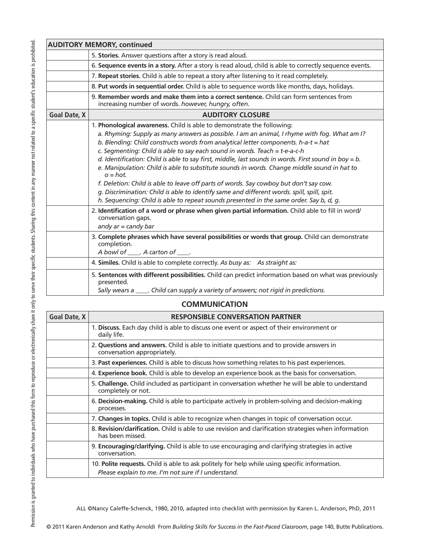| <b>AUDITORY MEMORY, continued</b> |                                                                                                                                                                                                                                                                                                                                                                                                                                                                                                                                                                                                                                                                                                                                                                                                                                                                                                                                                                                                              |  |
|-----------------------------------|--------------------------------------------------------------------------------------------------------------------------------------------------------------------------------------------------------------------------------------------------------------------------------------------------------------------------------------------------------------------------------------------------------------------------------------------------------------------------------------------------------------------------------------------------------------------------------------------------------------------------------------------------------------------------------------------------------------------------------------------------------------------------------------------------------------------------------------------------------------------------------------------------------------------------------------------------------------------------------------------------------------|--|
|                                   | 5. Stories. Answer questions after a story is read aloud.                                                                                                                                                                                                                                                                                                                                                                                                                                                                                                                                                                                                                                                                                                                                                                                                                                                                                                                                                    |  |
|                                   |                                                                                                                                                                                                                                                                                                                                                                                                                                                                                                                                                                                                                                                                                                                                                                                                                                                                                                                                                                                                              |  |
|                                   | 6. Sequence events in a story. After a story is read aloud, child is able to correctly sequence events.                                                                                                                                                                                                                                                                                                                                                                                                                                                                                                                                                                                                                                                                                                                                                                                                                                                                                                      |  |
|                                   | 7. Repeat stories. Child is able to repeat a story after listening to it read completely.                                                                                                                                                                                                                                                                                                                                                                                                                                                                                                                                                                                                                                                                                                                                                                                                                                                                                                                    |  |
|                                   | 8. Put words in sequential order. Child is able to sequence words like months, days, holidays.                                                                                                                                                                                                                                                                                                                                                                                                                                                                                                                                                                                                                                                                                                                                                                                                                                                                                                               |  |
|                                   | 9. Remember words and make them into a correct sentence. Child can form sentences from<br>increasing number of words. however, hungry, often.                                                                                                                                                                                                                                                                                                                                                                                                                                                                                                                                                                                                                                                                                                                                                                                                                                                                |  |
| <b>Goal Date, X</b>               | <b>AUDITORY CLOSURE</b>                                                                                                                                                                                                                                                                                                                                                                                                                                                                                                                                                                                                                                                                                                                                                                                                                                                                                                                                                                                      |  |
|                                   | 1. Phonological awareness. Child is able to demonstrate the following:<br>a. Rhyming: Supply as many answers as possible. I am an animal, I rhyme with fog. What am I?<br>b. Blending: Child constructs words from analytical letter components. h-a-t = hat<br>c. Segmenting: Child is able to say each sound in words. Teach = $t$ -e-a-c-h<br>d. Identification: Child is able to say first, middle, last sounds in words. First sound in boy = $b$ .<br>e. Manipulation: Child is able to substitute sounds in words. Change middle sound in hat to<br>$o = hot$ .<br>f. Deletion: Child is able to leave off parts of words. Say cowboy but don't say cow.<br>g. Discrimination: Child is able to identify same and different words. spill, spill, spit.<br>h. Sequencing: Child is able to repeat sounds presented in the same order. Say b, d, g.<br>2. Identification of a word or phrase when given partial information. Child able to fill in word/<br>conversation gaps.<br>andy $ar =$ candy bar |  |
|                                   | 3. Complete phrases which have several possibilities or words that group. Child can demonstrate<br>completion.<br>A bowl of _____. A carton of _____.                                                                                                                                                                                                                                                                                                                                                                                                                                                                                                                                                                                                                                                                                                                                                                                                                                                        |  |
|                                   | 4. Similes. Child is able to complete correctly. As busy as: As straight as:                                                                                                                                                                                                                                                                                                                                                                                                                                                                                                                                                                                                                                                                                                                                                                                                                                                                                                                                 |  |
|                                   | 5. Sentences with different possibilities. Child can predict information based on what was previously<br>presented.<br>Sally wears a ____. Child can supply a variety of answers; not rigid in predictions.                                                                                                                                                                                                                                                                                                                                                                                                                                                                                                                                                                                                                                                                                                                                                                                                  |  |
|                                   |                                                                                                                                                                                                                                                                                                                                                                                                                                                                                                                                                                                                                                                                                                                                                                                                                                                                                                                                                                                                              |  |
| <b>COMMUNICATION</b>              |                                                                                                                                                                                                                                                                                                                                                                                                                                                                                                                                                                                                                                                                                                                                                                                                                                                                                                                                                                                                              |  |
| Goal Date X                       | RESPONSIRI E CONVERSATION PARTNER                                                                                                                                                                                                                                                                                                                                                                                                                                                                                                                                                                                                                                                                                                                                                                                                                                                                                                                                                                            |  |

| Goal Date, X | <b>RESPONSIBLE CONVERSATION PARTNER</b>                                                                                                              |
|--------------|------------------------------------------------------------------------------------------------------------------------------------------------------|
|              | 1. Discuss. Each day child is able to discuss one event or aspect of their environment or<br>daily life.                                             |
|              | 2. Questions and answers. Child is able to initiate questions and to provide answers in<br>conversation appropriately.                               |
|              | 3. Past experiences. Child is able to discuss how something relates to his past experiences.                                                         |
|              | 4. Experience book. Child is able to develop an experience book as the basis for conversation.                                                       |
|              | 5. Challenge. Child included as participant in conversation whether he will be able to understand<br>completely or not.                              |
|              | 6. Decision-making. Child is able to participate actively in problem-solving and decision-making<br>processes.                                       |
|              | 7. Changes in topics. Child is able to recognize when changes in topic of conversation occur.                                                        |
|              | 8. Revision/clarification. Child is able to use revision and clarification strategies when information<br>has been missed.                           |
|              | 9. Encouraging/clarifying. Child is able to use encouraging and clarifying strategies in active<br>conversation.                                     |
|              | 10. Polite requests. Child is able to ask politely for help while using specific information.<br>Please explain to me. I'm not sure if I understand. |

ALL ©Nancy Caleffe-Schenck, 1980, 2010, adapted into checklist with permission by Karen L. Anderson, PhD, 2011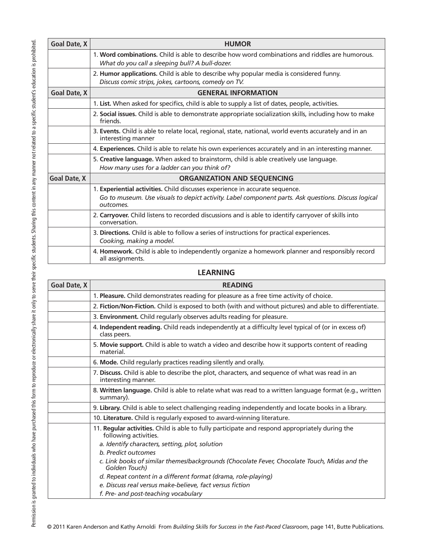| <b>Goal Date, X</b> | <b>HUMOR</b>                                                                                                                                                                                     |  |
|---------------------|--------------------------------------------------------------------------------------------------------------------------------------------------------------------------------------------------|--|
|                     | 1. Word combinations, Child is able to describe how word combinations and riddles are humorous.<br>What do you call a sleeping bull? A bull-dozer.                                               |  |
|                     | 2. Humor applications. Child is able to describe why popular media is considered funny.<br>Discuss comic strips, jokes, cartoons, comedy on TV.                                                  |  |
| <b>Goal Date, X</b> | <b>GENERAL INFORMATION</b>                                                                                                                                                                       |  |
|                     | 1. List. When asked for specifics, child is able to supply a list of dates, people, activities.                                                                                                  |  |
|                     | 2. Social issues. Child is able to demonstrate appropriate socialization skills, including how to make<br>friends.                                                                               |  |
|                     | 3. Events. Child is able to relate local, regional, state, national, world events accurately and in an<br>interesting manner                                                                     |  |
|                     | 4. Experiences. Child is able to relate his own experiences accurately and in an interesting manner.                                                                                             |  |
|                     | 5. Creative language. When asked to brainstorm, child is able creatively use language.<br>How many uses for a ladder can you think of?                                                           |  |
| <b>Goal Date, X</b> | <b>ORGANIZATION AND SEQUENCING</b>                                                                                                                                                               |  |
|                     | 1. Experiential activities. Child discusses experience in accurate sequence.<br>Go to museum. Use visuals to depict activity. Label component parts. Ask questions. Discuss logical<br>outcomes. |  |
|                     | 2. Carryover. Child listens to recorded discussions and is able to identify carryover of skills into<br>conversation.                                                                            |  |
|                     | 3. Directions. Child is able to follow a series of instructions for practical experiences.<br>Cooking, making a model.                                                                           |  |
|                     | 4. Homework. Child is able to independently organize a homework planner and responsibly record<br>all assignments.                                                                               |  |

## **LEARNING**

| <b>Goal Date, X</b> | <b>READING</b>                                                                                                           |
|---------------------|--------------------------------------------------------------------------------------------------------------------------|
|                     | 1. Pleasure. Child demonstrates reading for pleasure as a free time activity of choice.                                  |
|                     | 2. Fiction/Non-Fiction. Child is exposed to both (with and without pictures) and able to differentiate.                  |
|                     | 3. Environment. Child regularly observes adults reading for pleasure.                                                    |
|                     | 4. Independent reading. Child reads independently at a difficulty level typical of (or in excess of)<br>class peers.     |
|                     | 5. Movie support. Child is able to watch a video and describe how it supports content of reading<br>material.            |
|                     | 6. Mode. Child regularly practices reading silently and orally.                                                          |
|                     | 7. Discuss. Child is able to describe the plot, characters, and sequence of what was read in an<br>interesting manner.   |
|                     | 8. Written language. Child is able to relate what was read to a written language format (e.g., written<br>summary).      |
|                     | 9. Library. Child is able to select challenging reading independently and locate books in a library.                     |
|                     | 10. Literature. Child is regularly exposed to award-winning literature.                                                  |
|                     | 11. Regular activities. Child is able to fully participate and respond appropriately during the<br>following activities. |
|                     | a. Identify characters, setting, plot, solution                                                                          |
|                     | <b>b.</b> Predict outcomes                                                                                               |
|                     | c. Link books of similar themes/backgrounds (Chocolate Fever, Chocolate Touch, Midas and the<br>Golden Touch)            |
|                     | d. Repeat content in a different format (drama, role-playing)                                                            |
|                     | e. Discuss real versus make-believe, fact versus fiction                                                                 |
|                     | f. Pre- and post-teaching vocabulary                                                                                     |

© 2011 Karen Anderson and Kathy Arnoldi From *Building Skills for Success in the Fast-Paced Classroom*, page 141, Butte Publications.